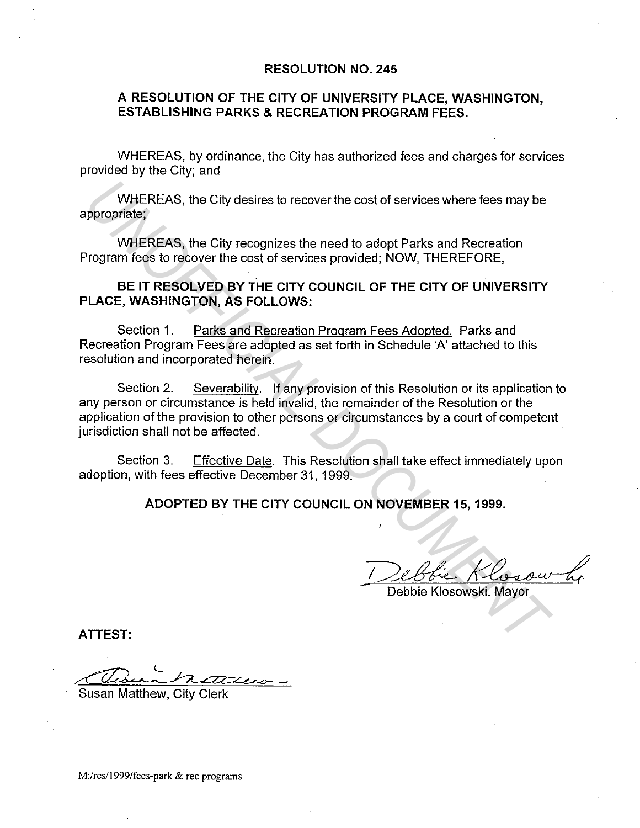## **RESOLUTION NO. 245**

## **A RESOLUTION OF THE CITY OF UNIVERSITY PLACE, WASHINGTON, ESTABLISHING PARKS & RECREATION PROGRAM FEES.**

WHEREAS, by ordinance, the City has authorized fees and charges for services provided by the City; and

WHEREAS, the City desires to recover the cost of services where fees may be appropriate;

WHEREAS, the City recognizes the need to adopt Parks and Recreation Program fees to recover the cost of services provided; NOW, THEREFORE,

## **BE IT RESOLVED BY THE CITY COUNCIL OF THE CITY OF UNIVERSITY PLACE, WASHINGTON, AS FOLLOWS:**

Section 1. Parks and Recreation Program Fees Adopted. Parks and Recreation Program Fees are adopted as set forth in Schedule 'A' attached to this resolution and incorporated herein.

Section 2. Severability. If any provision of this Resolution or its application to any person or circumstance is held invalid, the remainder of the Resolution or the application of the provision to other persons or circumstances by a court of competent jurisdiction shall not be affected. WHEREAS, the City desires to recover the cost of services where fees may be<br>ppropriate;<br>
WHEREAS, the City recognizes the need to adopt Parks and Recreation<br>
rogram fees to recover the cost of services provided; NOW, THERE

Section 3. Effective Date. This Resolution shall take effect immediately upon adoption, with fees effective December 31, 1999.

**ADOPTED BY THE CITY COUNCIL ON NOVEMBER 15, 1999.** 

Debbie Klosowski, Mayor

**ATTEST:** 

Susan Matthew, City Clerk

M:/res/1999/fees-park & rec programs